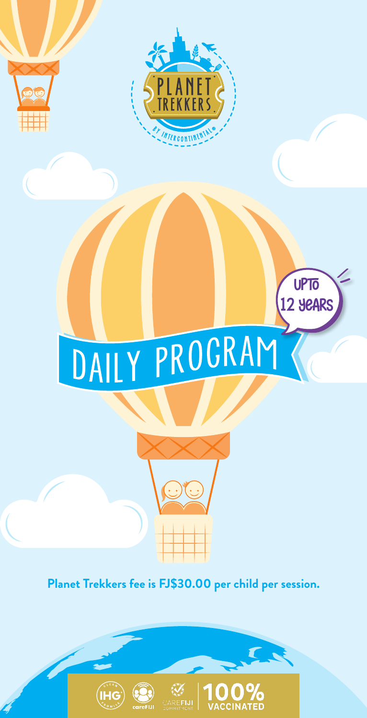

## DAILY PROGRAM

UPTO 12 YEARS

## **Planet Trekkers fee is FJ\$30.00 per child per session.**







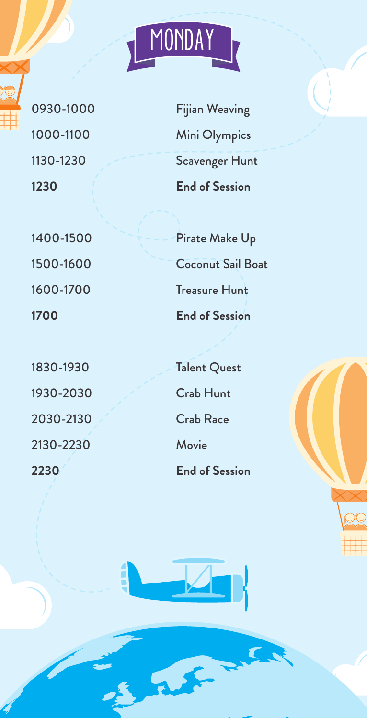1930-2030 Crab Hunt 2030-2130 Crab Race 2130-2230 Movie

0930-1000 Fijian Weaving 1000-1100 Mini Olympics 1130-1230 Scavenger Hunt **1230 End of Session**

**MONDAY** 

1400-1500 Pirate Make Up 1500-1600 Coconut Sail Boat 1600-1700 Treasure Hunt **1700 End of Session**

1830-1930 Talent Quest **2230 End of Session**



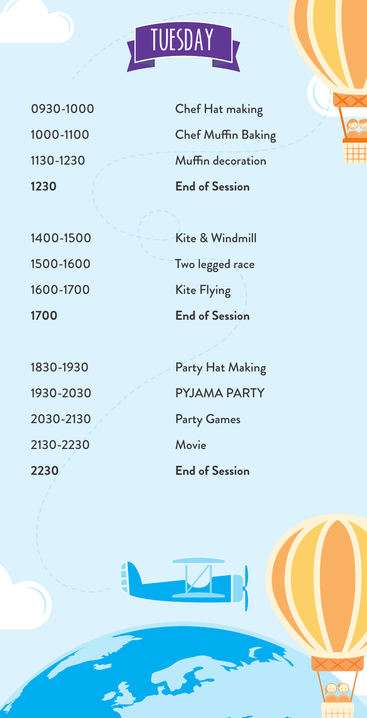

0930-1000 1000-1100 1130-1230 **1230**

1400-1500 1500-1600 1600-1700 **1700**

1830-1930 1930-2030 2030-2130 2130-2230 **2230**

Chef Hat making Chef Muffin Baking Muffin decoration **End of Session**

Kite & Windmill Two legged race Kite Flying **End of Session**

Party Hat Making PYJAMA PARTY Party Games Movie **End of Session**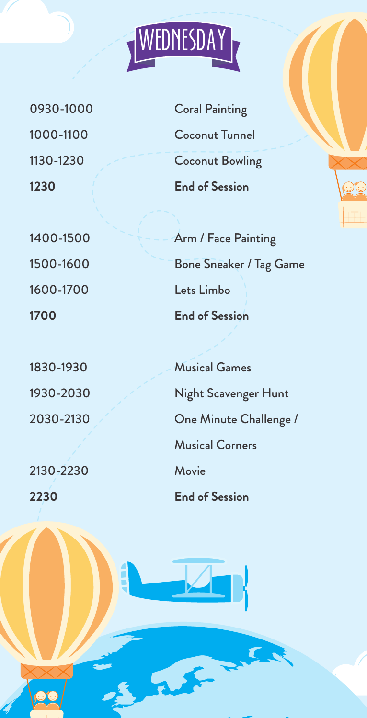

0930-1000 1000-1100 1130-1230 **1230**

1400-1500 1500-1600 1600-1700 **1700**

1830-1930 1930-2030 2030-2130

2130-2230 **2230**

Coral Painting Coconut Tunnel Coconut Bowling **End of Session**

Arm / Face Painting Bone Sneaker / Tag Game Lets Limbo **End of Session**

Musical Games Night Scavenger Hunt One Minute Challenge / Musical Corners Movie **End of Session**

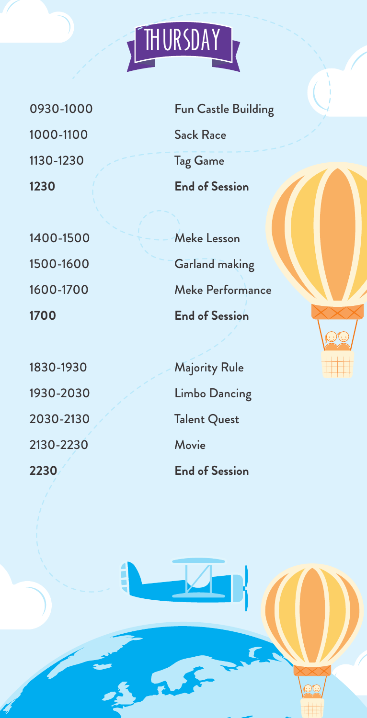0930-1000 1000-1100 1130-1230 **1230**

1400-1500 1500-1600 1600-1700 **1700**

1830-1930 1930-2030 2030-2130 2130-2230 **2230**

Fun Castle Building Sack Race Tag Game **End of Session**

THURSDAY

Meke Lesson Garland making Meke Performance **End of Session**

Majority Rule Limbo Dancing Talent Quest Movie **End of Session**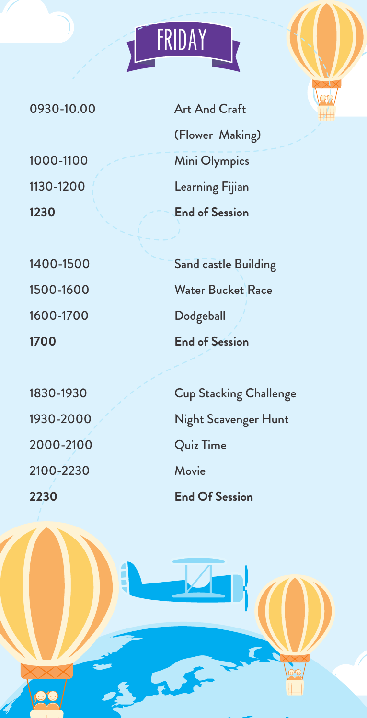0930-10.00

1000-1100 1130-1200 **1230**

1400-1500

1500-1600

1600-1700

**1700**

1830-1930 1930-2000 2000-2100 2100-2230 **2230**

Art And Craft (Flower Making) Mini Olympics Learning Fijian **End of Session**

FRIDAY

Sand castle Building Water Bucket Race Dodgeball **End of Session**

Cup Stacking Challenge Night Scavenger Hunt Quiz Time Movie **End Of Session**



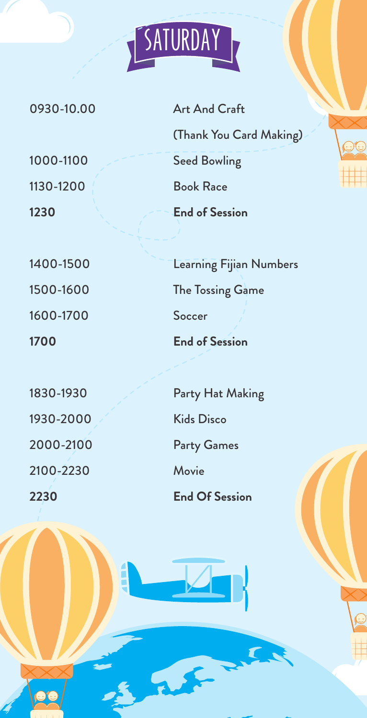0930-10.00

1000-1100 1130-1200 **1230**

1400-1500

1500-1600

1600-1700

**1700**

1830-1930 1930-2000 2000-2100 2100-2230 **2230**

OC

Art And Craft (Thank You Card Making) Seed Bowling Book Race **End of Session**

**SATURDAY** 

Learning Fijian Numbers The Tossing Game Soccer **End of Session**

Party Hat Making Kids Disco Party Games Movie **End Of Session**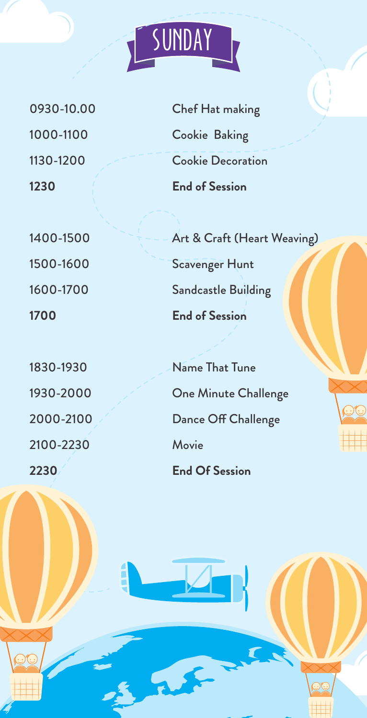

1400-1500 1500-1600 1600-1700 **1700**

1830-1930 1930-2000 2000-2100 2100-2230 **2230**

Chef Hat making Cookie Baking Cookie Decoration **End of Session**

**SUNDAY** 

Art & Craft (Heart Weaving) Scavenger Hunt Sandcastle Building **End of Session**

Name That Tune One Minute Challenge Dance Off Challenge Movie **End Of Session**